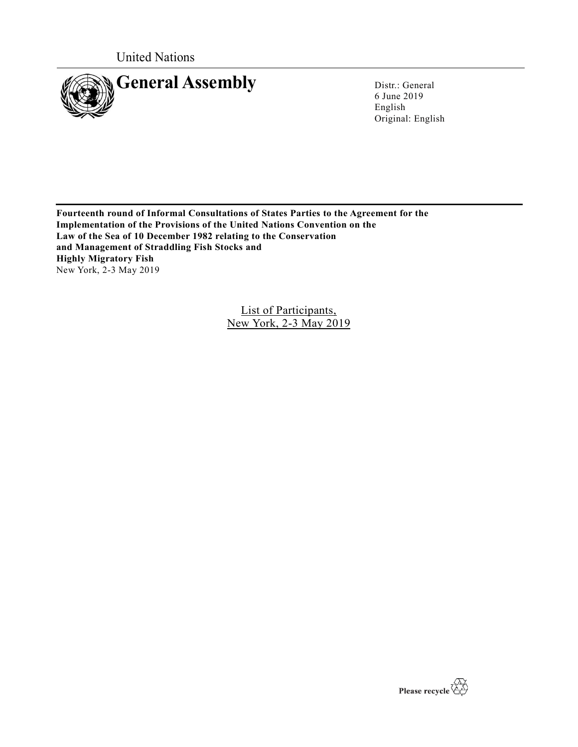United Nations



6 June 2019 English Original: English

**Fourteenth round of Informal Consultations of States Parties to the Agreement for the Implementation of the Provisions of the United Nations Convention on the Law of the Sea of 10 December 1982 relating to the Conservation and Management of Straddling Fish Stocks and Highly Migratory Fish**  New York, 2-3 May 2019

> List of Participants, New York, 2-3 May 2019

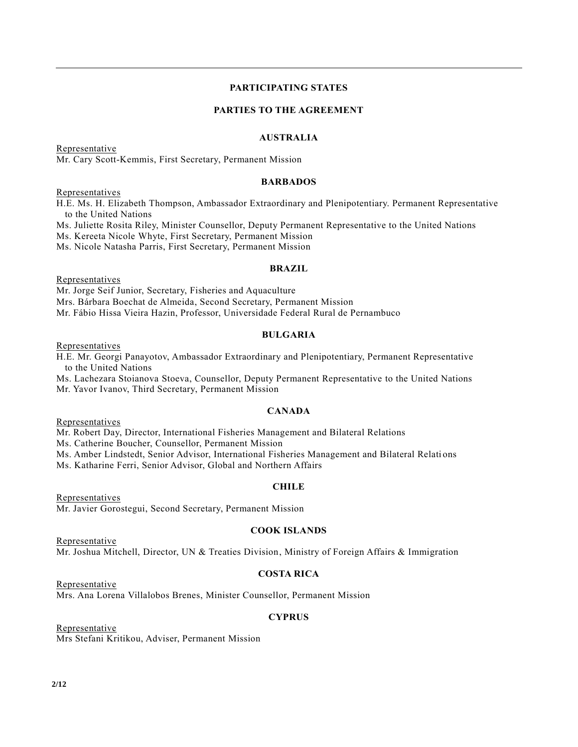## **PARTICIPATING STATES**

## **PARTIES TO THE AGREEMENT**

### **AUSTRALIA**

Representative Mr. Cary Scott-Kemmis, First Secretary, Permanent Mission

#### **BARBADOS**

Representatives

H.E. Ms. H. Elizabeth Thompson, Ambassador Extraordinary and Plenipotentiary. Permanent Representative to the United Nations

Ms. Juliette Rosita Riley, Minister Counsellor, Deputy Permanent Representative to the United Nations

Ms. Kereeta Nicole Whyte, First Secretary, Permanent Mission

Ms. Nicole Natasha Parris, First Secretary, Permanent Mission

#### **BRAZIL**

**Representatives** 

Mr. Jorge Seif Junior, Secretary, Fisheries and Aquaculture Mrs. Bárbara Boechat de Almeida, Second Secretary, Permanent Mission Mr. Fábio Hissa Vieira Hazin, Professor, Universidade Federal Rural de Pernambuco

### **BULGARIA**

**Representatives** 

H.E. Mr. Georgi Panayotov, Ambassador Extraordinary and Plenipotentiary, Permanent Representative to the United Nations

Ms. Lachezara Stoianova Stoeva, Counsellor, Deputy Permanent Representative to the United Nations Mr. Yavor Ivanov, Third Secretary, Permanent Mission

### **CANADA**

Representatives

Representative

Representative

Mr. Robert Day, Director, International Fisheries Management and Bilateral Relations

Ms. Catherine Boucher, Counsellor, Permanent Mission

Ms. Amber Lindstedt, Senior Advisor, International Fisheries Management and Bilateral Relati ons

Ms. Katharine Ferri, Senior Advisor, Global and Northern Affairs

## **CHILE**

**Representatives** Mr. Javier Gorostegui, Second Secretary, Permanent Mission

#### **COOK ISLANDS**

Mr. Joshua Mitchell, Director, UN & Treaties Division, Ministry of Foreign Affairs & Immigration

## **COSTA RICA**

Mrs. Ana Lorena Villalobos Brenes, Minister Counsellor, Permanent Mission

## **CYPRUS**

Representative Mrs Stefani Kritikou, Adviser, Permanent Mission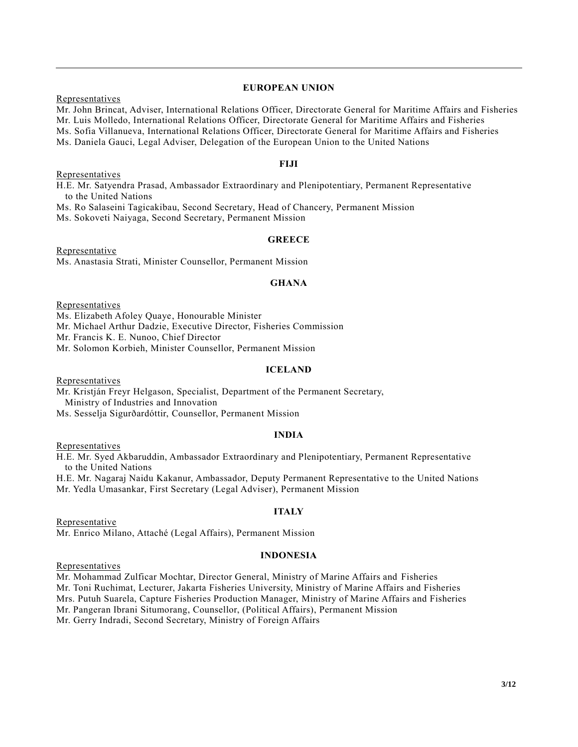## **EUROPEAN UNION**

Representatives

Mr. John Brincat, Adviser, International Relations Officer, Directorate General for Maritime Affairs and Fisheries Mr. Luis Molledo, International Relations Officer, Directorate General for Maritime Affairs and Fisheries Ms. Sofia Villanueva, International Relations Officer, Directorate General for Maritime Affairs and Fisheries Ms. Daniela Gauci, Legal Adviser, Delegation of the European Union to the United Nations

## **FIJI**

Representatives

H.E. Mr. Satyendra Prasad, Ambassador Extraordinary and Plenipotentiary, Permanent Representative to the United Nations

Ms. Ro Salaseini Tagicakibau, Second Secretary, Head of Chancery, Permanent Mission

Ms. Sokoveti Naiyaga, Second Secretary, Permanent Mission

## **GREECE**

Representative Ms. Anastasia Strati, Minister Counsellor, Permanent Mission

## **GHANA**

**Representatives** 

Ms. Elizabeth Afoley Quaye, Honourable Minister

Mr. Michael Arthur Dadzie, Executive Director, Fisheries Commission

Mr. Francis K. E. Nunoo, Chief Director

Mr. Solomon Korbieh, Minister Counsellor, Permanent Mission

## **ICELAND**

Representatives

Mr. Kristján Freyr Helgason, Specialist, Department of the Permanent Secretary, Ministry of Industries and Innovation

Ms. Sesselja Sigurðardóttir, Counsellor, Permanent Mission

## **INDIA**

Representatives

H.E. Mr. Syed Akbaruddin, Ambassador Extraordinary and Plenipotentiary, Permanent Representative to the United Nations

H.E. Mr. Nagaraj Naidu Kakanur, Ambassador, Deputy Permanent Representative to the United Nations Mr. Yedla Umasankar, First Secretary (Legal Adviser), Permanent Mission

**ITALY**

Mr. Enrico Milano, Attaché (Legal Affairs), Permanent Mission

## **INDONESIA**

Representatives

Representative

Mr. Mohammad Zulficar Mochtar, Director General, Ministry of Marine Affairs and Fisheries Mr. Toni Ruchimat, Lecturer, Jakarta Fisheries University, Ministry of Marine Affairs and Fisheries Mrs. Putuh Suarela, Capture Fisheries Production Manager, Ministry of Marine Affairs and Fisheries Mr. Pangeran Ibrani Situmorang, Counsellor, (Political Affairs), Permanent Mission Mr. Gerry Indradi, Second Secretary, Ministry of Foreign Affairs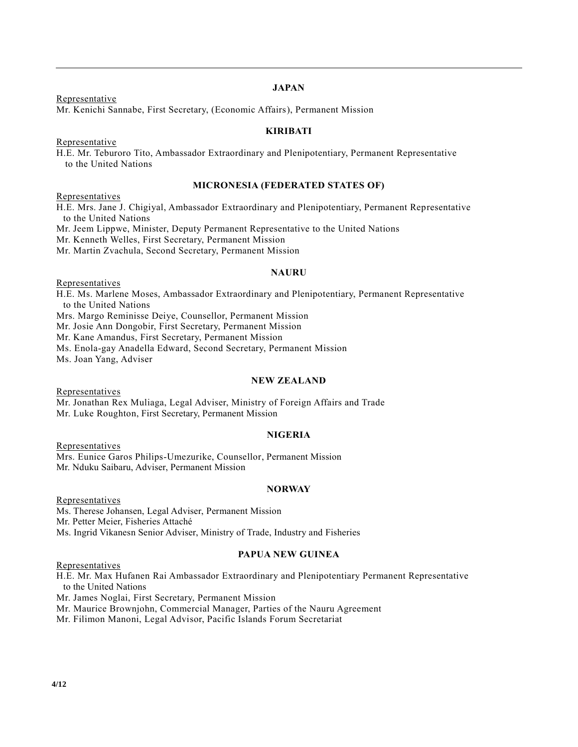Representative

# **JAPAN**

Mr. Kenichi Sannabe, First Secretary, (Economic Affairs), Permanent Mission

## **KIRIBATI**

Representative

H.E. Mr. Teburoro Tito, Ambassador Extraordinary and Plenipotentiary, Permanent Representative to the United Nations

## **MICRONESIA (FEDERATED STATES OF)**

Representatives

H.E. Mrs. Jane J. Chigiyal, Ambassador Extraordinary and Plenipotentiary, Permanent Representative to the United Nations

Mr. Jeem Lippwe, Minister, Deputy Permanent Representative to the United Nations

Mr. Kenneth Welles, First Secretary, Permanent Mission

Mr. Martin Zvachula, Second Secretary, Permanent Mission

## **NAURU**

Representatives

H.E. Ms. Marlene Moses, Ambassador Extraordinary and Plenipotentiary, Permanent Representative to the United Nations

Mrs. Margo Reminisse Deiye, Counsellor, Permanent Mission

Mr. Josie Ann Dongobir, First Secretary, Permanent Mission

Mr. Kane Amandus, First Secretary, Permanent Mission

Ms. Enola-gay Anadella Edward, Second Secretary, Permanent Mission

Ms. Joan Yang, Adviser

## **NEW ZEALAND**

**Representatives** 

Mr. Jonathan Rex Muliaga, Legal Adviser, Ministry of Foreign Affairs and Trade Mr. Luke Roughton, First Secretary, Permanent Mission

## **NIGERIA**

**Representatives** Mrs. Eunice Garos Philips-Umezurike, Counsellor, Permanent Mission Mr. Nduku Saibaru, Adviser, Permanent Mission

## **NORWAY**

Representatives Ms. Therese Johansen, Legal Adviser, Permanent Mission Mr. Petter Meier, Fisheries Attaché Ms. Ingrid Vikanesn Senior Adviser, Ministry of Trade, Industry and Fisheries

## **PAPUA NEW GUINEA**

**Representatives** 

H.E. Mr. Max Hufanen Rai Ambassador Extraordinary and Plenipotentiary Permanent Representative to the United Nations

Mr. James Noglai, First Secretary, Permanent Mission

Mr. Maurice Brownjohn, Commercial Manager, Parties of the Nauru Agreement

Mr. Filimon Manoni, Legal Advisor, Pacific Islands Forum Secretariat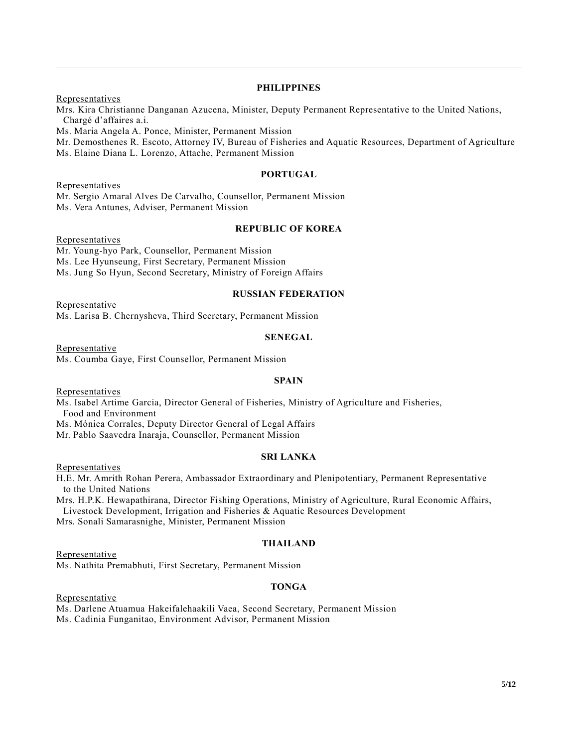## **PHILIPPINES**

**Representatives** Mrs. Kira Christianne Danganan Azucena, Minister, Deputy Permanent Representative to the United Nations, Chargé d'affaires a.i. Ms. Maria Angela A. Ponce, Minister, Permanent Mission

Mr. Demosthenes R. Escoto, Attorney IV, Bureau of Fisheries and Aquatic Resources, Department of Agriculture Ms. Elaine Diana L. Lorenzo, Attache, Permanent Mission

## **PORTUGAL**

**Representatives** Mr. Sergio Amaral Alves De Carvalho, Counsellor, Permanent Mission Ms. Vera Antunes, Adviser, Permanent Mission

## **REPUBLIC OF KOREA**

**Representatives** 

Mr. Young-hyo Park, Counsellor, Permanent Mission Ms. Lee Hyunseung, First Secretary, Permanent Mission Ms. Jung So Hyun, Second Secretary, Ministry of Foreign Affairs

#### **RUSSIAN FEDERATION**

**Representative** Ms. Larisa B. Chernysheva, Third Secretary, Permanent Mission

#### **SENEGAL**

Representative Ms. Coumba Gaye, First Counsellor, Permanent Mission

## **SPAIN**

Representatives

Ms. Isabel Artime Garcia, Director General of Fisheries, Ministry of Agriculture and Fisheries, Food and Environment

Ms. Mónica Corrales, Deputy Director General of Legal Affairs

Mr. Pablo Saavedra Inaraja, Counsellor, Permanent Mission

# **SRI LANKA**

**Representatives** 

H.E. Mr. Amrith Rohan Perera, Ambassador Extraordinary and Plenipotentiary, Permanent Representative to the United Nations

Mrs. H.P.K. Hewapathirana, Director Fishing Operations, Ministry of Agriculture, Rural Economic Affairs, Livestock Development, Irrigation and Fisheries & Aquatic Resources Development Mrs. Sonali Samarasnighe, Minister, Permanent Mission

## **THAILAND**

Representative Ms. Nathita Premabhuti, First Secretary, Permanent Mission

## **TONGA**

Representative

Ms. Darlene Atuamua Hakeifalehaakili Vaea, Second Secretary, Permanent Mission Ms. Cadinia Funganitao, Environment Advisor, Permanent Mission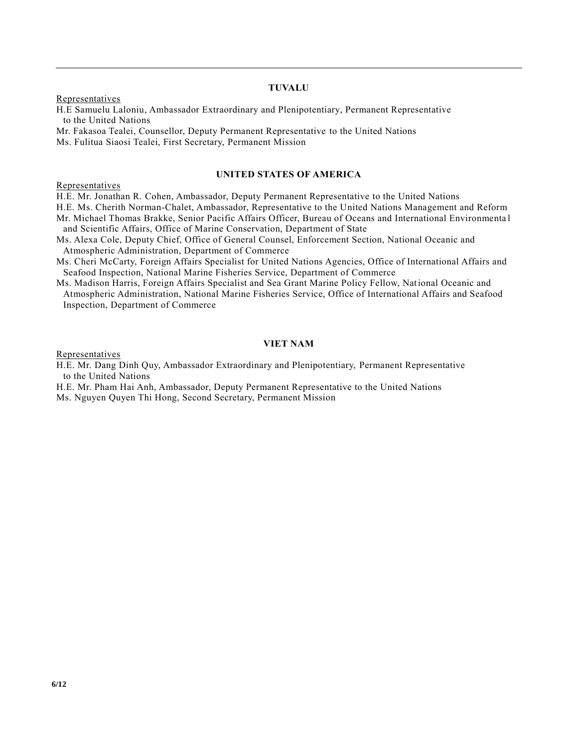# **TUVALU**

**Representatives** 

H.E Samuelu Laloniu, Ambassador Extraordinary and Plenipotentiary, Permanent Representative to the United Nations

Mr. Fakasoa Tealei, Counsellor, Deputy Permanent Representative to the United Nations Ms. Fulitua Siaosi Tealei, First Secretary, Permanent Mission

#### **UNITED STATES OF AMERICA**

Representatives

H.E. Mr. Jonathan R. Cohen, Ambassador, Deputy Permanent Representative to the United Nations

H.E. Ms. Cherith Norman-Chalet, Ambassador, Representative to the United Nations Management and Reform Mr. Michael Thomas Brakke, Senior Pacific Affairs Officer, Bureau of Oceans and International Environmenta l and Scientific Affairs, Office of Marine Conservation, Department of State

Ms. Alexa Cole, Deputy Chief, Office of General Counsel, Enforcement Section, National Oceanic and Atmospheric Administration, Department of Commerce

Ms. Cheri McCarty, Foreign Affairs Specialist for United Nations Agencies, Office of International Affairs and Seafood Inspection, National Marine Fisheries Service, Department of Commerce

Ms. Madison Harris, Foreign Affairs Specialist and Sea Grant Marine Policy Fellow, National Oceanic and Atmospheric Administration, National Marine Fisheries Service, Office of International Affairs and Seafood Inspection, Department of Commerce

## **VIET NAM**

Representatives

- H.E. Mr. Dang Dinh Quy, Ambassador Extraordinary and Plenipotentiary, Permanent Representative to the United Nations
- H.E. Mr. Pham Hai Anh, Ambassador, Deputy Permanent Representative to the United Nations Ms. Nguyen Quyen Thi Hong, Second Secretary, Permanent Mission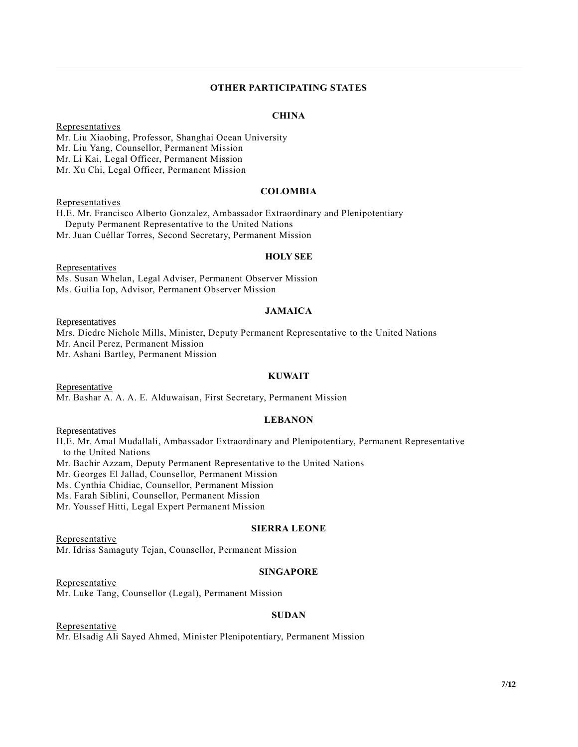## **OTHER PARTICIPATING STATES**

## **CHINA**

Representatives Mr. Liu Xiaobing, Professor, Shanghai Ocean University Mr. Liu Yang, Counsellor, Permanent Mission Mr. Li Kai, Legal Officer, Permanent Mission Mr. Xu Chi, Legal Officer, Permanent Mission

#### **COLOMBIA**

Representatives H.E. Mr. Francisco Alberto Gonzalez, Ambassador Extraordinary and Plenipotentiary Deputy Permanent Representative to the United Nations

Mr. Juan Cuéllar Torres, Second Secretary, Permanent Mission

#### **HOLY SEE**

**Representatives** Ms. Susan Whelan, Legal Adviser, Permanent Observer Mission Ms. Guilia Iop, Advisor, Permanent Observer Mission

#### **JAMAICA**

**Representatives** 

Mrs. Diedre Nichole Mills, Minister, Deputy Permanent Representative to the United Nations Mr. Ancil Perez, Permanent Mission Mr. Ashani Bartley, Permanent Mission

### **KUWAIT**

**Representative** Mr. Bashar A. A. A. E. Alduwaisan, First Secretary, Permanent Mission

## **LEBANON**

Representatives

H.E. Mr. Amal Mudallali, Ambassador Extraordinary and Plenipotentiary, Permanent Representative to the United Nations

Mr. Bachir Azzam, Deputy Permanent Representative to the United Nations

Mr. Georges El Jallad, Counsellor, Permanent Mission

Ms. Cynthia Chidiac, Counsellor, Permanent Mission

Ms. Farah Siblini, Counsellor, Permanent Mission

Mr. Youssef Hitti, Legal Expert Permanent Mission

## **SIERRA LEONE**

Representative

Mr. Idriss Samaguty Tejan, Counsellor, Permanent Mission

#### **SINGAPORE**

Representative Mr. Luke Tang, Counsellor (Legal), Permanent Mission

## **SUDAN**

**Representative** Mr. Elsadig Ali Sayed Ahmed, Minister Plenipotentiary, Permanent Mission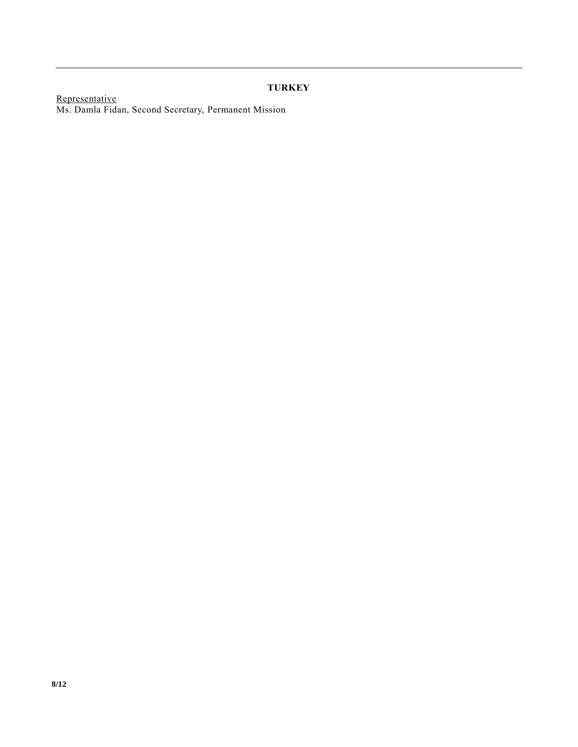# **TURKEY**

Representative Ms. Damla Fidan, Second Secretary, Permanent Mission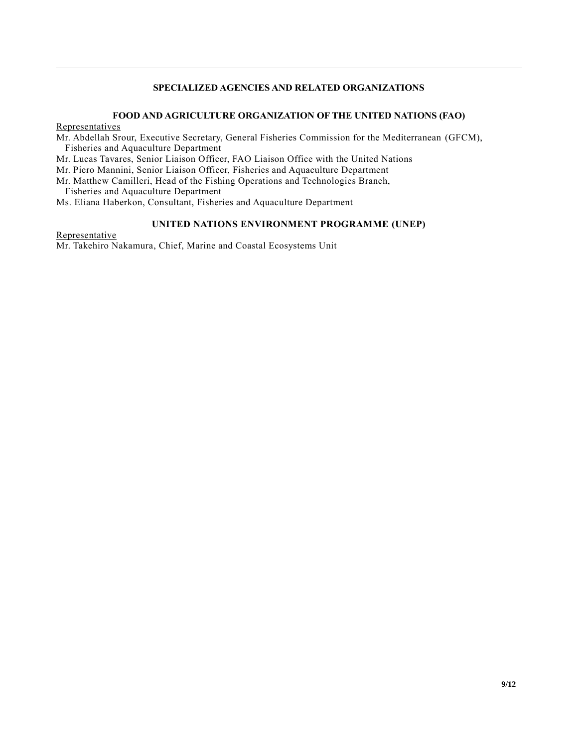# **SPECIALIZED AGENCIES AND RELATED ORGANIZATIONS**

## **FOOD AND AGRICULTURE ORGANIZATION OF THE UNITED NATIONS (FAO)**

#### Representatives

Mr. Abdellah Srour, Executive Secretary, General Fisheries Commission for the Mediterranean (GFCM), Fisheries and Aquaculture Department

Mr. Lucas Tavares, Senior Liaison Officer, FAO Liaison Office with the United Nations

Mr. Piero Mannini, Senior Liaison Officer, Fisheries and Aquaculture Department

Mr. Matthew Camilleri, Head of the Fishing Operations and Technologies Branch,

Fisheries and Aquaculture Department

Ms. Eliana Haberkon, Consultant, Fisheries and Aquaculture Department

## **UNITED NATIONS ENVIRONMENT PROGRAMME (UNEP)**

Representative Mr. Takehiro Nakamura, Chief, Marine and Coastal Ecosystems Unit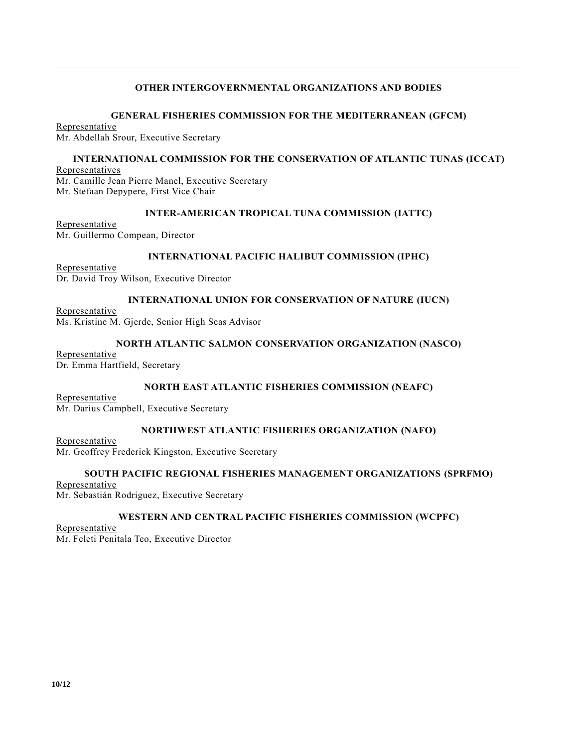## **OTHER INTERGOVERNMENTAL ORGANIZATIONS AND BODIES**

### **GENERAL FISHERIES COMMISSION FOR THE MEDITERRANEAN (GFCM)**

Representative Mr. Abdellah Srour, Executive Secretary

## **INTERNATIONAL COMMISSION FOR THE CONSERVATION OF ATLANTIC TUNAS (ICCAT)**

**Representatives** Mr. Camille Jean Pierre Manel, Executive Secretary Mr. Stefaan Depypere, First Vice Chair

## **INTER-AMERICAN TROPICAL TUNA COMMISSION (IATTC)**

Representative Mr. Guillermo Compean, Director

## **INTERNATIONAL PACIFIC HALIBUT COMMISSION (IPHC)**

Representative Dr. David Troy Wilson, Executive Director

## **INTERNATIONAL UNION FOR CONSERVATION OF NATURE (IUCN)**

Representative Ms. Kristine M. Gjerde, Senior High Seas Advisor

## **NORTH ATLANTIC SALMON CONSERVATION ORGANIZATION (NASCO)**

Representative Dr. Emma Hartfield, Secretary

## **NORTH EAST ATLANTIC FISHERIES COMMISSION (NEAFC)**

Representative Mr. Darius Campbell, Executive Secretary

## **NORTHWEST ATLANTIC FISHERIES ORGANIZATION (NAFO)**

Representative Mr. Geoffrey Frederick Kingston, Executive Secretary

## **SOUTH PACIFIC REGIONAL FISHERIES MANAGEMENT ORGANIZATIONS (SPRFMO)**

Representative Mr. Sebastián Rodriguez, Executive Secretary

## **WESTERN AND CENTRAL PACIFIC FISHERIES COMMISSION (WCPFC)**

Representative Mr. Feleti Penitala Teo, Executive Director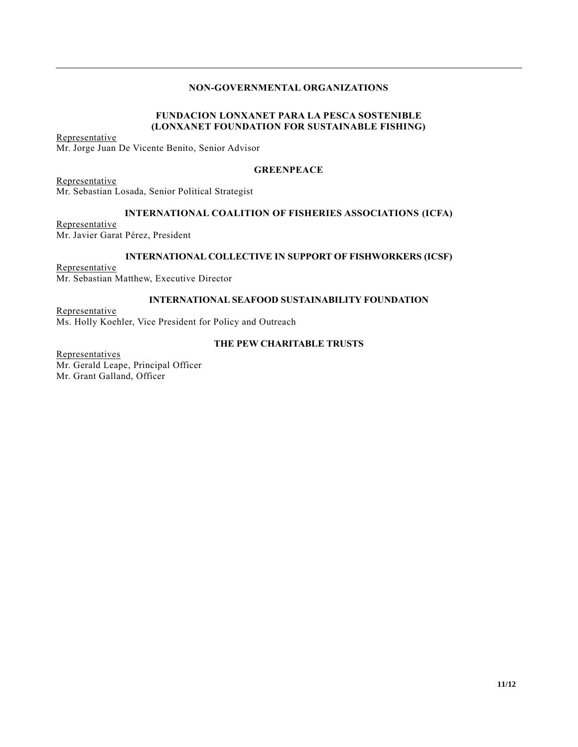# **NON-GOVERNMENTAL ORGANIZATIONS**

# **FUNDACION LONXANET PARA LA PESCA SOSTENIBLE (LONXANET FOUNDATION FOR SUSTAINABLE FISHING)**

Representative Mr. Jorge Juan De Vicente Benito, Senior Advisor

## **GREENPEACE**

Representative Mr. Sebastian Losada, Senior Political Strategist

## **INTERNATIONAL COALITION OF FISHERIES ASSOCIATIONS (ICFA)**

Representative Mr. Javier Garat Pérez, President

## **INTERNATIONAL COLLECTIVE IN SUPPORT OF FISHWORKERS (ICSF)**

Representative Mr. Sebastian Matthew, Executive Director

## **INTERNATIONAL SEAFOOD SUSTAINABILITY FOUNDATION**

Representative Ms. Holly Koehler, Vice President for Policy and Outreach

## **THE PEW CHARITABLE TRUSTS**

**Representatives** Mr. Gerald Leape, Principal Officer Mr. Grant Galland, Officer